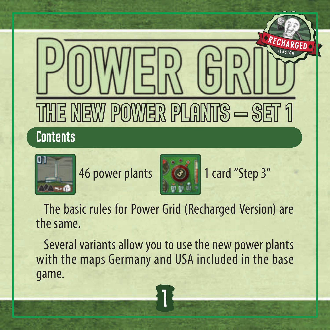

# $2 - 6$

46 power plants **1 card** "Step 3"



 The basic rules for Power Grid (Recharged Version) are the same.

Several variants allow you to use the new power plants with the maps Germany and USA included in the base game.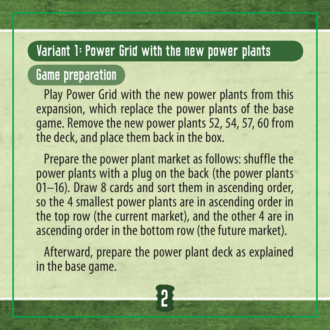# Variant 1: Power Grid with the new power plants

# Game preparation

Play Power Grid with the new power plants from this expansion, which replace the power plants of the base game. Remove the new power plants 52, 54, 57, 60 from the deck, and place them back in the box.

Prepare the power plant market as follows: shuffle the power plants with a plug on the back (the power plants 01–16). Draw 8 cards and sort them in ascending order, so the 4 smallest power plants are in ascending order in the top row (the current market), and the other 4 are in ascending order in the bottom row (the future market).

Afterward, prepare the power plant deck as explained in the base game.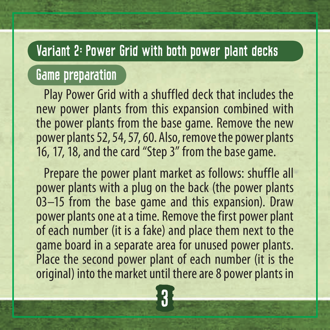# Variant 2: Power Grid with both power plant decks

# Game preparation

Play Power Grid with a shuffled deck that includes the new power plants from this expansion combined with the power plants from the base game. Remove the new power plants 52, 54, 57, 60. Also, remove the power plants 16, 17, 18, and the card "Step 3" from the base game.

Prepare the power plant market as follows: shuffle all power plants with a plug on the back (the power plants 03–15 from the base game and this expansion). Draw power plants one at a time. Remove the first power plant of each number (it is a fake) and place them next to the game board in a separate area for unused power plants. Place the second power plant of each number (it is the original) into the market until there are 8 power plants in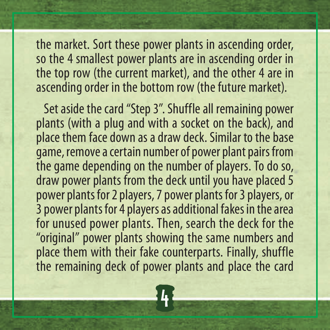the market. Sort these power plants in ascending order, so the 4 smallest power plants are in ascending order in the top row (the current market), and the other 4 are in ascending order in the bottom row (the future market).

Set aside the card "Step 3". Shuffle all remaining power plants (with a plug and with a socket on the back), and place them face down as a draw deck. Similar to the base game, remove a certain number of power plant pairs from the game depending on the number of players. To do so, draw power plants from the deck until you have placed 5 power plants for 2 players, 7 power plants for 3 players, or 3 power plants for 4 players as additional fakes in the area for unused power plants. Then, search the deck for the "original" power plants showing the same numbers and place them with their fake counterparts. Finally, shuffle the remaining deck of power plants and place the card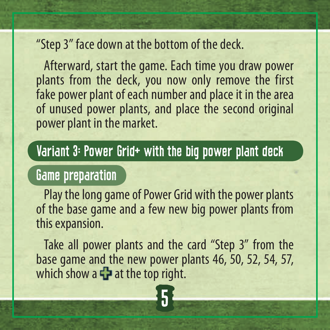#### "Step 3" face down at the bottom of the deck.

 Afterward, start the game. Each time you draw power plants from the deck, you now only remove the first fake power plant of each number and place it in the area of unused power plants, and place the second original power plant in the market.

### Variant 3: Power Grid+ with the big power plant deck

# Game preparation

Play the long game of Power Grid with the power plants of the base game and a few new big power plants from this expansion.

 Take all power plants and the card "Step 3" from the base game and the new power plants 46, 50, 52, 54, 57, which show a  $\frac{1}{2}$  at the top right.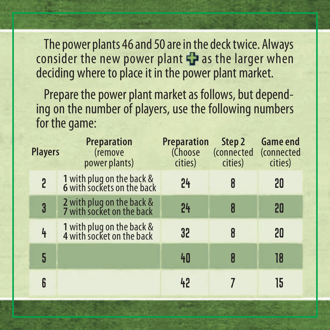The power plants 46 and 50 are in the deck twice. Always consider the new power plant  $\Gamma$  as the larger when deciding where to place it in the power plant market.

Prepare the power plant market as follows, but depending on the number of players, use the following numbers for the game:

| <b>Players</b> | <b>Preparation</b><br><i>(remove</i><br>power plants)   | <b>Preparation</b><br>(Choose<br>cities) | Step 2<br><i>(connected)</i><br>cities) | <b>Game end</b><br>(connected<br>cities) |
|----------------|---------------------------------------------------------|------------------------------------------|-----------------------------------------|------------------------------------------|
| 5              | 1 with plug on the back &<br>6 with sockets on the back | 24                                       |                                         | 20                                       |
| 3              | 2 with plug on the back &<br>7 with socket on the back  | 24                                       | R                                       | 20                                       |
| 4              | 1 with plug on the back &<br>4 with socket on the back  | 32                                       |                                         | 20                                       |
| 5              |                                                         | 40                                       |                                         | 18                                       |
| 6              |                                                         | 42                                       |                                         | 15                                       |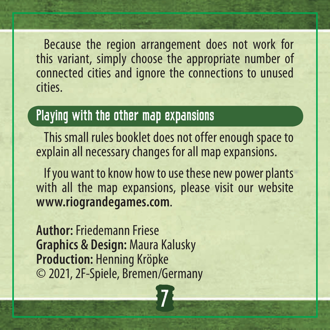Because the region arrangement does not work for this variant, simply choose the appropriate number of connected cities and ignore the connections to unused cities.

# Playing with the other map expansions

This small rules booklet does not offer enough space to explain all necessary changes for all map expansions.

If you want to know how to use these new power plants with all the map expansions, please visit our website **www.riograndegames.com**.

7

**Author:** Friedemann Friese **Graphics & Design:** Maura Kalusky **Production:** Henning Kröpke © 2021, 2F-Spiele, Bremen/Germany